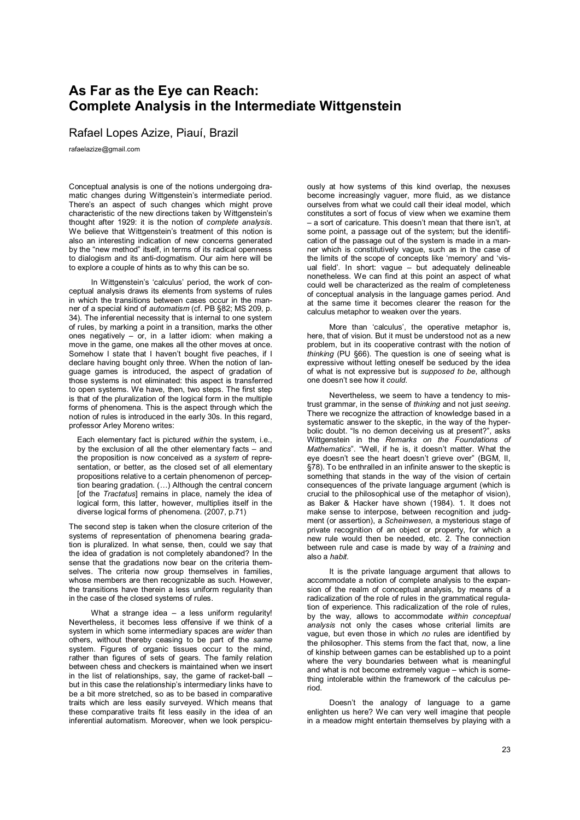### **As Far as the Eye can Reach: Complete Analysis in the Intermediate Wittgenstein**

Rafael Lopes Azize, Piauí, Brazil

rafaelazize@gmail.com

Conceptual analysis is one of the notions undergoing dramatic changes during Wittgenstein's intermediate period. There's an aspect of such changes which might prove characteristic of the new directions taken by Wittgenstein's thought after 1929: it is the notion of *complete analysis*. We believe that Wittgenstein's treatment of this notion is also an interesting indication of new concerns generated by the "new method" itself, in terms of its radical openness to dialogism and its anti-dogmatism. Our aim here will be to explore a couple of hints as to why this can be so.

In Wittgenstein's 'calculus' period, the work of conceptual analysis draws its elements from systems of rules in which the transitions between cases occur in the manner of a special kind of *automatism* (cf. PB §82; MS 209, p. 34). The inferential necessity that is internal to one system of rules, by marking a point in a transition, marks the other ones negatively – or, in a latter idiom: when making a move in the game, one makes all the other moves at once. Somehow I state that I haven't bought five peaches, if I declare having bought only three. When the notion of language games is introduced, the aspect of gradation of those systems is not eliminated: this aspect is transferred to open systems. We have, then, two steps. The first step is that of the pluralization of the logical form in the multiple forms of phenomena. This is the aspect through which the notion of rules is introduced in the early 30s. In this regard, professor Arley Moreno writes:

Each elementary fact is pictured *within* the system, i.e., by the exclusion of all the other elementary facts – and the proposition is now conceived as a *system* of representation, or better, as the closed set of all elementary propositions relative to a certain phenomenon of perception bearing gradation. (…) Although the central concern [of the *Tractatus*] remains in place, namely the idea of logical form, this latter, however, multiplies itself in the diverse logical forms of phenomena. (2007, p.71)

The second step is taken when the closure criterion of the systems of representation of phenomena bearing gradation is pluralized. In what sense, then, could we say that the idea of gradation is not completely abandoned? In the sense that the gradations now bear on the criteria themselves. The criteria now group themselves in families. whose members are then recognizable as such. However, the transitions have therein a less uniform regularity than in the case of the closed systems of rules.

What a strange idea - a less uniform regularity! Nevertheless, it becomes less offensive if we think of a system in which some intermediary spaces are *wider* than others, without thereby ceasing to be part of the *same* system. Figures of organic tissues occur to the mind, rather than figures of sets of gears. The family relation between chess and checkers is maintained when we insert in the list of relationships, say, the game of racket-ball – but in this case the relationship's intermediary links have to be a bit more stretched, so as to be based in comparative traits which are less easily surveyed. Which means that these comparative traits fit less easily in the idea of an inferential automatism. Moreover, when we look perspicuously at how systems of this kind overlap, the nexuses become increasingly vaguer, more fluid, as we distance ourselves from what we could call their ideal model, which constitutes a sort of focus of view when we examine them – a sort of caricature. This doesn't mean that there isn't, at some point, a passage out of the system; but the identification of the passage out of the system is made in a manner which is constitutively vague, such as in the case of the limits of the scope of concepts like 'memory' and 'visual field'. In short: vague – but adequately delineable nonetheless. We can find at this point an aspect of what could well be characterized as the realm of completeness of conceptual analysis in the language games period. And at the same time it becomes clearer the reason for the calculus metaphor to weaken over the years.

More than 'calculus', the operative metaphor is, here, that of vision. But it must be understood not as a new problem, but in its cooperative contrast with the notion of *thinking* (PU §66). The question is one of seeing what is expressive without letting oneself be seduced by the idea of what is not expressive but is *supposed to be*, although one doesn't see how it *could*.

Nevertheless, we seem to have a tendency to mistrust grammar, in the sense of *thinking* and not just *seeing*. There we recognize the attraction of knowledge based in a systematic answer to the skeptic, in the way of the hyperbolic doubt. "Is no demon deceiving us at present?", asks Wittgenstein in the *Remarks on the Foundations of Mathematics*". "Well, if he is, it doesn't matter. What the eye doesn't see the heart doesn't grieve over" (BGM, II, §78). To be enthralled in an infinite answer to the skeptic is something that stands in the way of the vision of certain consequences of the private language argument (which is crucial to the philosophical use of the metaphor of vision), as Baker & Hacker have shown (1984). 1. It does not make sense to interpose, between recognition and judgment (or assertion), a *Scheinwesen*, a mysterious stage of private recognition of an object or property, for which a new rule would then be needed, etc. 2. The connection between rule and case is made by way of a *training* and also a *habit.* 

It is the private language argument that allows to accommodate a notion of complete analysis to the expansion of the realm of conceptual analysis, by means of a radicalization of the role of rules in the grammatical regulation of experience. This radicalization of the role of rules, by the way, allows to accommodate *within conceptual analysis* not only the cases whose criterial limits are vague, but even those in which *no* rules are identified by the philosopher. This stems from the fact that, now, a line of kinship between games can be established up to a point where the very boundaries between what is meaningful and what is not become extremely vague – which is something intolerable within the framework of the calculus period.

Doesn't the analogy of language to a game enlighten us here? We can very well imagine that people in a meadow might entertain themselves by playing with a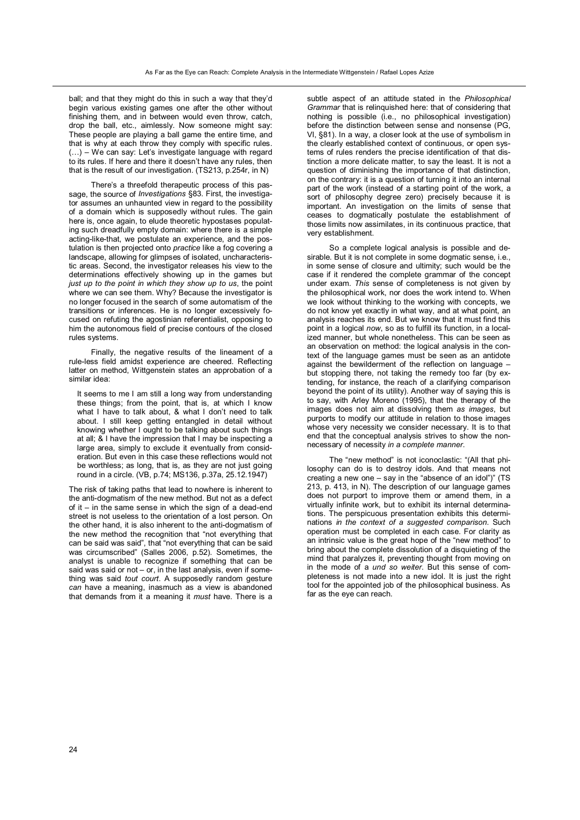ball; and that they might do this in such a way that they'd begin various existing games one after the other without finishing them, and in between would even throw, catch, drop the ball, etc., aimlessly. Now someone might say: These people are playing a ball game the entire time, and that is why at each throw they comply with specific rules. (…) – We can say: Let's investigate language with regard to its rules. If here and there it doesn't have any rules, then that is the result of our investigation. (TS213, p.254r, in N)

There's a threefold therapeutic process of this passage, the source of *Investigations* §83. First, the investigator assumes an unhaunted view in regard to the possibility of a domain which is supposedly without rules. The gain here is, once again, to elude theoretic hypostases populating such dreadfully empty domain: where there is a simple acting-like-that, we postulate an experience, and the postulation is then projected onto *practice* like a fog covering a landscape, allowing for glimpses of isolated, uncharacteristic areas. Second, the investigator releases his view to the determinations effectively showing up in the games but *just up to the point in which they show up to us*, the point where we can see them. Why? Because the investigator is no longer focused in the search of some automatism of the transitions or inferences. He is no longer excessively focused on refuting the agostinian referentialist, opposing to him the autonomous field of precise contours of the closed rules systems.

Finally, the negative results of the lineament of a rule-less field amidst experience are cheered. Reflecting latter on method, Wittgenstein states an approbation of a similar idea:

It seems to me I am still a long way from understanding these things; from the point, that is, at which I know what I have to talk about, & what I don't need to talk about. I still keep getting entangled in detail without knowing whether I ought to be talking about such things at all; & I have the impression that I may be inspecting a large area, simply to exclude it eventually from consideration. But even in this case these reflections would not be worthless; as long, that is, as they are not just going round in a circle. (VB, p.74; MS136, p.37a, 25.12.1947)

The risk of taking paths that lead to nowhere is inherent to the anti-dogmatism of the new method. But not as a defect of it – in the same sense in which the sign of a dead-end street is not useless to the orientation of a lost person. On the other hand, it is also inherent to the anti-dogmatism of the new method the recognition that "not everything that can be said was said", that "not everything that can be said was circumscribed" (Salles 2006, p.52). Sometimes, the analyst is unable to recognize if something that can be said was said or not – or, in the last analysis, even if something was said *tout court*. A supposedly random gesture *can* have a meaning, inasmuch as a view is abandoned that demands from it a meaning it *must* have. There is a

subtle aspect of an attitude stated in the *Philosophical Grammar* that is relinquished here: that of considering that nothing is possible (i.e., no philosophical investigation) before the distinction between sense and nonsense (PG, VI, §81). In a way, a closer look at the use of symbolism in the clearly established context of continuous, or open systems of rules renders the precise identification of that distinction a more delicate matter, to say the least. It is not a question of diminishing the importance of that distinction, on the contrary: it is a question of turning it into an internal part of the work (instead of a starting point of the work, a sort of philosophy degree zero) precisely because it is important. An investigation on the limits of sense that ceases to dogmatically postulate the establishment of those limits now assimilates, in its continuous practice, that very establishment.

So a complete logical analysis is possible and desirable. But it is not complete in some dogmatic sense, i.e., in some sense of closure and ultimity; such would be the case if it rendered the complete grammar of the concept under exam. *This* sense of completeness is not given by the philosophical work, nor does the work intend to. When we look without thinking to the working with concepts, we do not know yet exactly in what way, and at what point, an analysis reaches its end. But we know that it must find this point in a logical *now*, so as to fulfill its function, in a localized manner, but whole nonetheless. This can be seen as an observation on method: the logical analysis in the context of the language games must be seen as an antidote against the bewilderment of the reflection on language – but stopping there, not taking the remedy too far (by extending, for instance, the reach of a clarifying comparison beyond the point of its utility). Another way of saying this is to say, with Arley Moreno (1995), that the therapy of the images does not aim at dissolving them *as images*, but purports to modify our attitude in relation to those images whose very necessity we consider necessary. It is to that end that the conceptual analysis strives to show the nonnecessary of necessity *in a complete manner*.

The "new method" is not iconoclastic: "(All that philosophy can do is to destroy idols. And that means not creating a new one – say in the "absence of an idol")" (TS 213, p. 413, in N). The description of our language games does not purport to improve them or amend them, in a virtually infinite work, but to exhibit its internal determinations. The perspicuous presentation exhibits this determinations *in the context of a suggested comparison*. Such operation must be completed in each case. For clarity as an intrinsic value is the great hope of the "new method" to bring about the complete dissolution of a disquieting of the mind that paralyzes it, preventing thought from moving on in the mode of a *und so weiter*. But this sense of completeness is not made into a new idol. It is just the right tool for the appointed job of the philosophical business. As far as the eye can reach.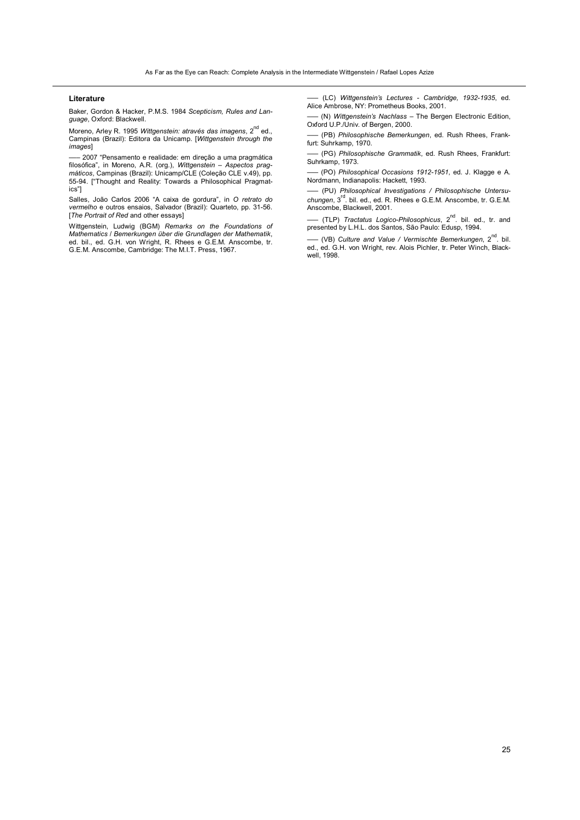#### **Literature**

Baker, Gordon & Hacker, P.M.S. 1984 *Scepticism, Rules and Language*, Oxford: Blackwell.

Moreno, Arley R. 1995 Wittgenstein: através das imagens, 2<sup>nd</sup> ed., Campinas (Brazil): Editora da Unicamp. [*Wittgenstein through the images*]

––– 2007 "Pensamento e realidade: em direção a uma pragmática filosófica", in Moreno, A.R. (org.), *Wittgenstein – Aspectos prag-máticos*, Campinas (Brazil): Unicamp/CLE (Coleção CLE v.49), pp. 55-94. ["Thought and Reality: Towards a Philosophical Pragmatics"]

Salles, João Carlos 2006 "A caixa de gordura", in *O retrato do vermelho* e outros ensaios, Salvador (Brazil): Quarteto, pp. 31-56. [*The Portrait of Red* and other essays]

Wittgenstein, Ludwig (BGM) *Remarks on the Foundations of Mathematics* / *Bemerkungen über die Grundlagen der Mathematik*, ed. bil., ed. G.H. von Wright, R. Rhees e G.E.M. Anscombe, tr. G.E.M. Anscombe, Cambridge: The M.I.T. Press, 1967.

––– (LC) *Wittgenstein's Lectures - Cambridge, 1932-1935*, ed. Alice Ambrose, NY: Prometheus Books, 2001.

––– (N) *Wittgenstein's Nachlass* – The Bergen Electronic Edition, Oxford U.P./Univ. of Bergen, 2000.

––– (PB) *Philosophische Bemerkungen*, ed. Rush Rhees, Frankfurt: Suhrkamp, 1970.

––– (PG) *Philosophische Grammatik*, ed. Rush Rhees, Frankfurt: Suhrkamp, 1973.

––– (PO) *Philosophical Occasions 1912-1951*, ed. J. Klagge e A. Nordmann, Indianapolis: Hackett, 1993.

––– (PU) *Philosophical Investigations / Philosophische Untersuchungen*, 3rd. bil. ed., ed. R. Rhees e G.E.M. Anscombe, tr. G.E.M. Anscombe, Blackwell, 2001.

––– (TLP) *Tractatus Logico-Philosophicus*, 2nd. bil. ed., tr. and presented by L.H.L. dos Santos, São Paulo: Edusp, 1994.

––– (VB) *Culture and Value / Vermischte Bemerkungen*, 2nd. bil. ed., ed. G.H. von Wright, rev. Alois Pichler, tr. Peter Winch, Blackwell, 1998.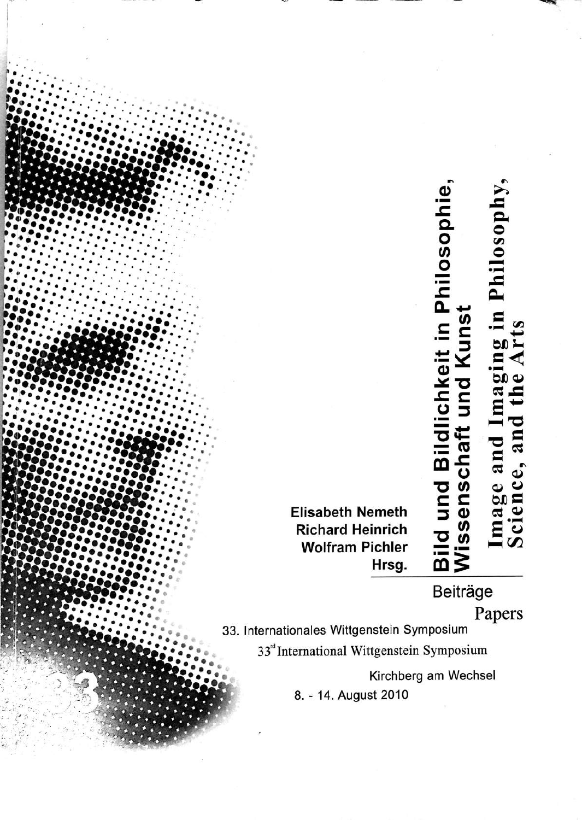Bild und Bildlichkeit in Philosophie<br>Wissenschaft und Kunst Image and Imaging in Philosophy<br>Science, and the Arts

**Elisabeth Nemeth Richard Heinrich Wolfram Pichler** Hrsg.

Beiträge

Papers

33. Internationales Wittgenstein Symposium

33" International Wittgenstein Symposium

Kirchberg am Wechsel

8. - 14. August 2010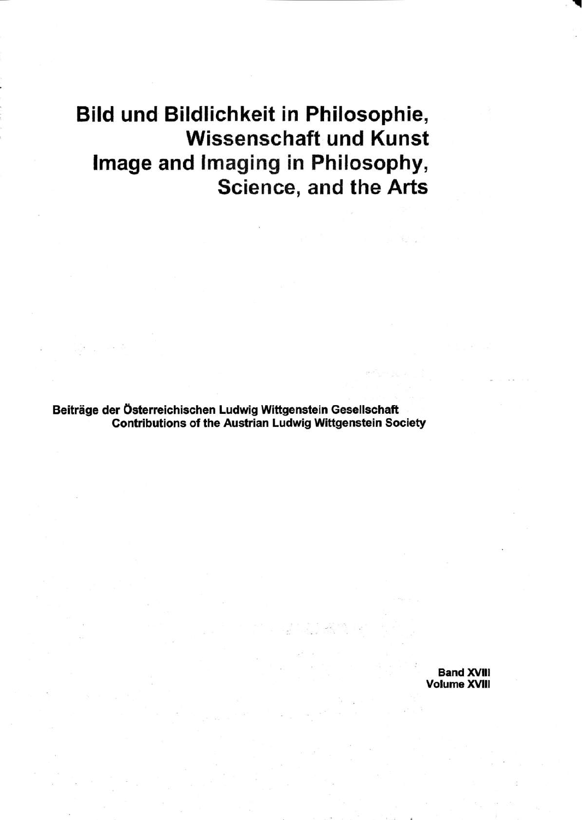# Bild und Bildlichkeit in Philosophie, **Wissenschaft und Kunst** Image and Imaging in Philosophy, Science, and the Arts

Beiträge der Österreichischen Ludwig Wittgenstein Gesellschaft **Contributions of the Austrian Ludwig Wittgenstein Society** 

> **Band XVIII Volume XVIII**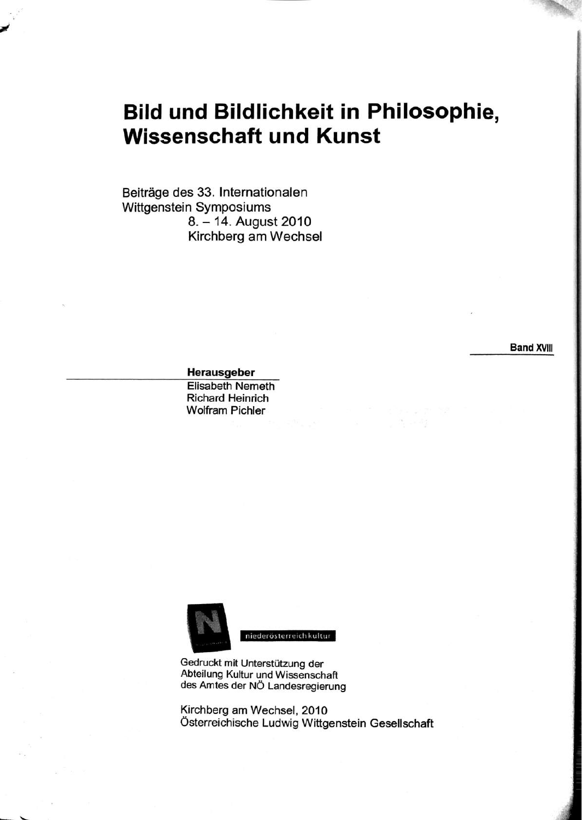## **Bild und Bildlichkeit in Philosophie, Wissenschaft und Kunst**

Beiträge des 33. Internationalen Wittgenstein Symposiums 8. - 14. August 2010 Kirchberg am Wechsel

**Band XVIII** 

#### Herausgeber

**Elisabeth Nemeth Richard Heinrich Wolfram Pichler** 



niederösterreich kultur

Gedruckt mit Unterstützung der Abteilung Kultur und Wissenschaft des Amtes der NÖ Landesregierung

Kirchberg am Wechsel, 2010 Österreichische Ludwig Wittgenstein Gesellschaft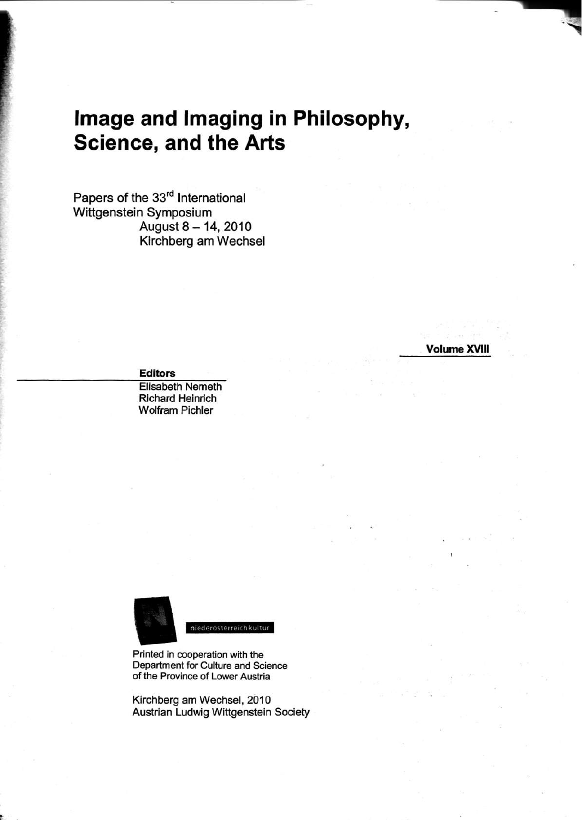## Image and Imaging in Philosophy, **Science, and the Arts**

Papers of the 33rd International Wittgenstein Symposium August 8 - 14, 2010 Kirchberg am Wechsel

**Volume XVIII** 

**Editors** 

**Elisabeth Nemeth** Richard Heinrich **Wolfram Pichler** 



niederosterreich kultur

Printed in cooperation with the Department for Culture and Science of the Province of Lower Austria

Kirchberg am Wechsel, 2010 Austrian Ludwig Wittgenstein Society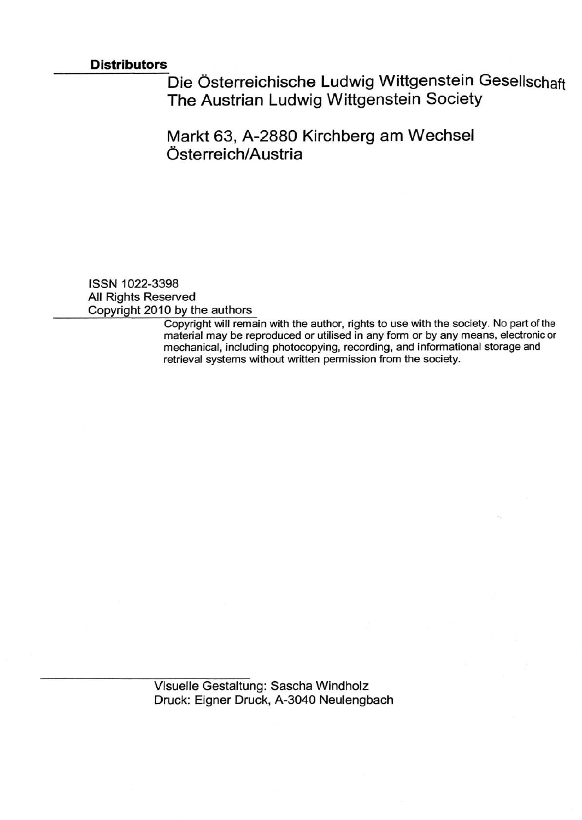### **Distributors**

Die Österreichische Ludwig Wittgenstein Gesellschaft The Austrian Ludwig Wittgenstein Society

Markt 63, A-2880 Kirchberg am Wechsel Österreich/Austria

ISSN 1022-3398 All Rights Reserved Copyright 2010 by the authors

Copyright will remain with the author, rights to use with the society. No part of the material may be reproduced or utilised in any form or by any means, electronic or mechanical, including photocopying, recording, and informational storage and retrieval systems without written permission from the society.

Visuelle Gestaltung: Sascha Windholz Druck: Eigner Druck, A-3040 Neulengbach